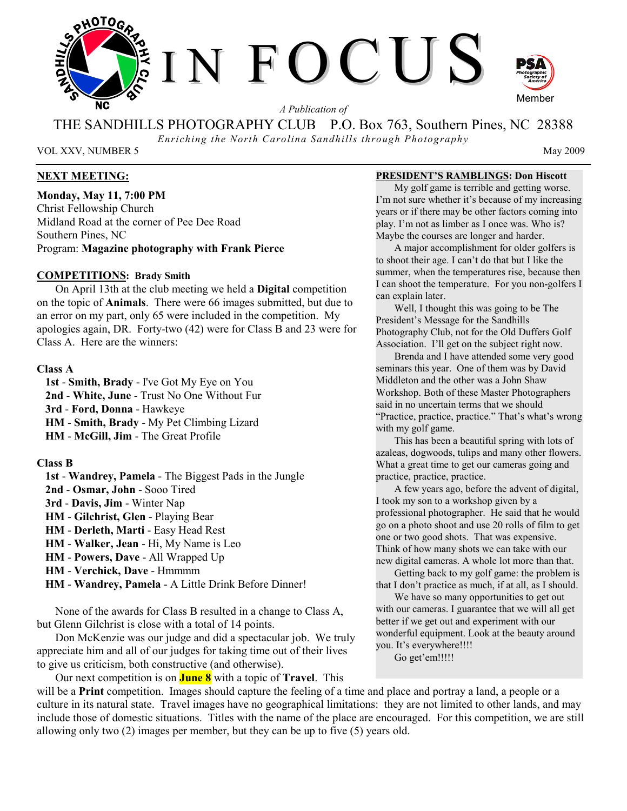

*A Publication of* 

THE SANDHILLS PHOTOGRAPHY CLUB P.O. Box 763, Southern Pines, NC 28388

*Enriching the North Carolina Sandhills through Photography* 

VOL XXV, NUMBER 5 May 2009

# **NEXT MEETING:**

**Monday, May 11, 7:00 PM**  Christ Fellowship Church Midland Road at the corner of Pee Dee Road Southern Pines, NC Program: **Magazine photography with Frank Pierce**

### **COMPETITIONS: Brady Smith**

On April 13th at the club meeting we held a **Digital** competition on the topic of **Animals**. There were 66 images submitted, but due to an error on my part, only 65 were included in the competition. My apologies again, DR. Forty-two (42) were for Class B and 23 were for Class A. Here are the winners:

### **Class A**

 **1st** - **Smith, Brady** - I've Got My Eye on You **2nd** - **White, June** - Trust No One Without Fur **3rd** - **Ford, Donna** - Hawkeye **HM** - **Smith, Brady** - My Pet Climbing Lizard **HM** - **McGill, Jim** - The Great Profile

### **Class B**

- **1st Wandrey, Pamela** The Biggest Pads in the Jungle
- **2nd Osmar, John** Sooo Tired
- **3rd Davis, Jim** Winter Nap
- **HM Gilchrist, Glen** Playing Bear
- **HM Derleth, Marti** Easy Head Rest
- **HM Walker, Jean** Hi, My Name is Leo
- **HM Powers, Dave** All Wrapped Up
- **HM Verchick, Dave** Hmmmm
- **HM Wandrey, Pamela** A Little Drink Before Dinner!

None of the awards for Class B resulted in a change to Class A, but Glenn Gilchrist is close with a total of 14 points.

Don McKenzie was our judge and did a spectacular job. We truly appreciate him and all of our judges for taking time out of their lives to give us criticism, both constructive (and otherwise).

Our next competition is on **June 8** with a topic of **Travel**. This

### **PRESIDENT'S RAMBLINGS: Don Hiscott**

My golf game is terrible and getting worse. I'm not sure whether it's because of my increasing years or if there may be other factors coming into play. I'm not as limber as I once was. Who is? Maybe the courses are longer and harder.

A major accomplishment for older golfers is to shoot their age. I can't do that but I like the summer, when the temperatures rise, because then I can shoot the temperature. For you non-golfers I can explain later.

Well, I thought this was going to be The President's Message for the Sandhills Photography Club, not for the Old Duffers Golf Association. I'll get on the subject right now.

Brenda and I have attended some very good seminars this year. One of them was by David Middleton and the other was a John Shaw Workshop. Both of these Master Photographers said in no uncertain terms that we should "Practice, practice, practice." That's what's wrong with my golf game.

This has been a beautiful spring with lots of azaleas, dogwoods, tulips and many other flowers. What a great time to get our cameras going and practice, practice, practice.

A few years ago, before the advent of digital, I took my son to a workshop given by a professional photographer. He said that he would go on a photo shoot and use 20 rolls of film to get one or two good shots. That was expensive. Think of how many shots we can take with our new digital cameras. A whole lot more than that.

Getting back to my golf game: the problem is that I don't practice as much, if at all, as I should.

We have so many opportunities to get out with our cameras. I guarantee that we will all get better if we get out and experiment with our wonderful equipment. Look at the beauty around you. It's everywhere!!!!

Go get'em!!!!!

will be a **Print** competition. Images should capture the feeling of a time and place and portray a land, a people or a culture in its natural state. Travel images have no geographical limitations: they are not limited to other lands, and may include those of domestic situations. Titles with the name of the place are encouraged. For this competition, we are still allowing only two (2) images per member, but they can be up to five (5) years old.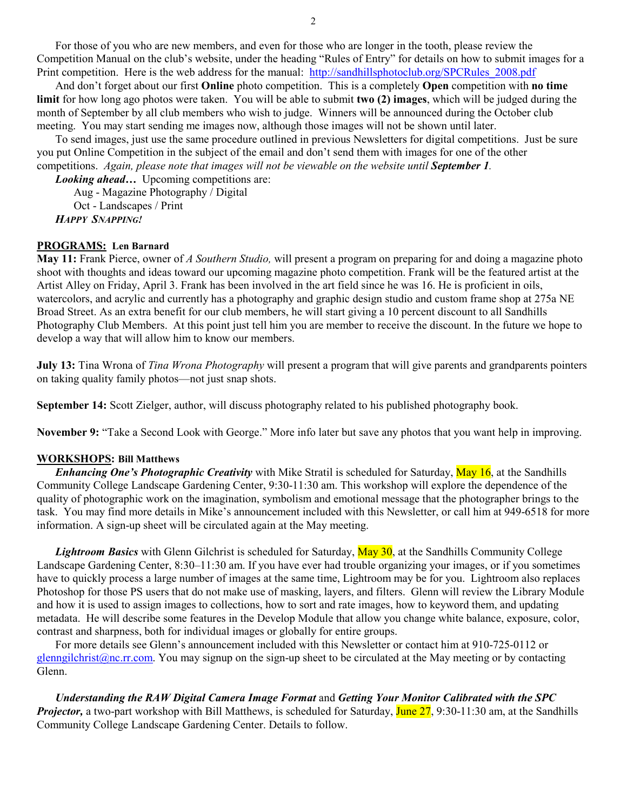For those of you who are new members, and even for those who are longer in the tooth, please review the Competition Manual on the club's website, under the heading "Rules of Entry" for details on how to submit images for a Print competition. Here is the web address for the manual: http://sandhillsphotoclub.org/SPCRules\_2008.pdf

And don't forget about our first **Online** photo competition. This is a completely **Open** competition with **no time limit** for how long ago photos were taken. You will be able to submit **two (2) images**, which will be judged during the month of September by all club members who wish to judge. Winners will be announced during the October club meeting. You may start sending me images now, although those images will not be shown until later.

To send images, just use the same procedure outlined in previous Newsletters for digital competitions. Just be sure you put Online Competition in the subject of the email and don't send them with images for one of the other competitions. *Again, please note that images will not be viewable on the website until September 1.* 

*Looking ahead...* Upcoming competitions are:

Aug - Magazine Photography / Digital

Oct - Landscapes / Print

*HAPPY SNAPPING!*

# **PROGRAMS: Len Barnard**

**May 11:** Frank Pierce, owner of *A Southern Studio,* will present a program on preparing for and doing a magazine photo shoot with thoughts and ideas toward our upcoming magazine photo competition. Frank will be the featured artist at the Artist Alley on Friday, April 3. Frank has been involved in the art field since he was 16. He is proficient in oils, watercolors, and acrylic and currently has a photography and graphic design studio and custom frame shop at 275a NE Broad Street. As an extra benefit for our club members, he will start giving a 10 percent discount to all Sandhills Photography Club Members. At this point just tell him you are member to receive the discount. In the future we hope to develop a way that will allow him to know our members.

**July 13:** Tina Wrona of *Tina Wrona Photography* will present a program that will give parents and grandparents pointers on taking quality family photos—not just snap shots.

**September 14:** Scott Zielger, author, will discuss photography related to his published photography book.

**November 9:** "Take a Second Look with George." More info later but save any photos that you want help in improving.

# **WORKSHOPS: Bill Matthews**

*Enhancing One's Photographic Creativity* with Mike Stratil is scheduled for Saturday, May 16, at the Sandhills Community College Landscape Gardening Center, 9:30-11:30 am. This workshop will explore the dependence of the quality of photographic work on the imagination, symbolism and emotional message that the photographer brings to the task. You may find more details in Mike's announcement included with this Newsletter, or call him at 949-6518 for more information. A sign-up sheet will be circulated again at the May meeting.

Lightroom Basics with Glenn Gilchrist is scheduled for Saturday, May 30, at the Sandhills Community College Landscape Gardening Center, 8:30–11:30 am. If you have ever had trouble organizing your images, or if you sometimes have to quickly process a large number of images at the same time, Lightroom may be for you. Lightroom also replaces Photoshop for those PS users that do not make use of masking, layers, and filters. Glenn will review the Library Module and how it is used to assign images to collections, how to sort and rate images, how to keyword them, and updating metadata. He will describe some features in the Develop Module that allow you change white balance, exposure, color, contrast and sharpness, both for individual images or globally for entire groups.

For more details see Glenn's announcement included with this Newsletter or contact him at 910-725-0112 or glenngilchrist@nc.rr.com. You may signup on the sign-up sheet to be circulated at the May meeting or by contacting Glenn.

*Understanding the RAW Digital Camera Image Format* and *Getting Your Monitor Calibrated with the SPC Projector*, a two-part workshop with Bill Matthews, is scheduled for Saturday, June 27, 9:30-11:30 am, at the Sandhills Community College Landscape Gardening Center. Details to follow.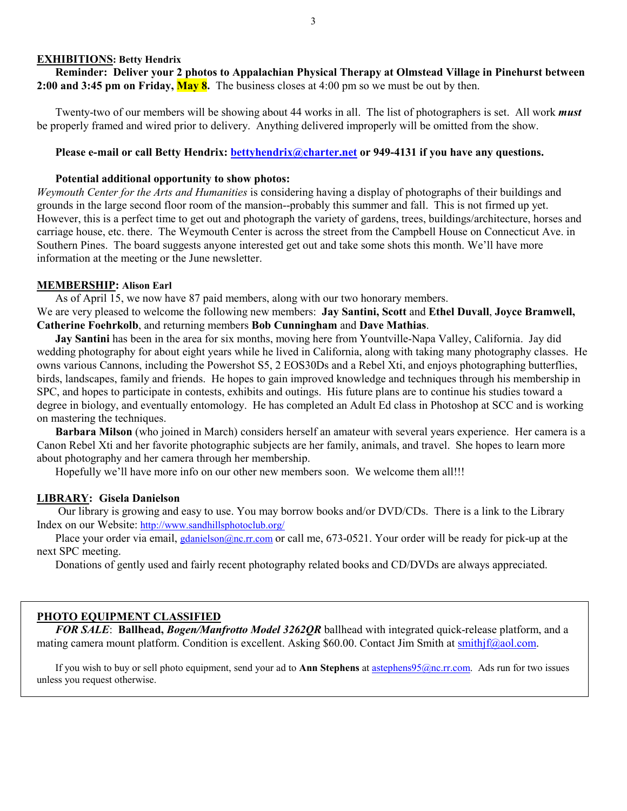#### **EXHIBITIONS: Betty Hendrix**

**Reminder: Deliver your 2 photos to Appalachian Physical Therapy at Olmstead Village in Pinehurst between 2:00 and 3:45 pm on Friday, May 8.** The business closes at 4:00 pm so we must be out by then.

Twenty-two of our members will be showing about 44 works in all. The list of photographers is set. All work *must* be properly framed and wired prior to delivery. Anything delivered improperly will be omitted from the show.

# Please e-mail or call Betty Hendrix: **bettyhendrix@charter.net** or 949-4131 if you have any questions.

### **Potential additional opportunity to show photos:**

*Weymouth Center for the Arts and Humanities* is considering having a display of photographs of their buildings and grounds in the large second floor room of the mansion--probably this summer and fall. This is not firmed up yet. However, this is a perfect time to get out and photograph the variety of gardens, trees, buildings/architecture, horses and carriage house, etc. there. The Weymouth Center is across the street from the Campbell House on Connecticut Ave. in Southern Pines. The board suggests anyone interested get out and take some shots this month. We'll have more information at the meeting or the June newsletter.

#### **MEMBERSHIP: Alison Earl**

As of April 15, we now have 87 paid members, along with our two honorary members.

We are very pleased to welcome the following new members: **Jay Santini, Scott** and **Ethel Duvall**, **Joyce Bramwell, Catherine Foehrkolb**, and returning members **Bob Cunningham** and **Dave Mathias**.

**Jay Santini** has been in the area for six months, moving here from Yountville-Napa Valley, California. Jay did wedding photography for about eight years while he lived in California, along with taking many photography classes. He owns various Cannons, including the Powershot S5, 2 EOS30Ds and a Rebel Xti, and enjoys photographing butterflies, birds, landscapes, family and friends. He hopes to gain improved knowledge and techniques through his membership in SPC, and hopes to participate in contests, exhibits and outings. His future plans are to continue his studies toward a degree in biology, and eventually entomology. He has completed an Adult Ed class in Photoshop at SCC and is working on mastering the techniques.

**Barbara Milson** (who joined in March) considers herself an amateur with several years experience. Her camera is a Canon Rebel Xti and her favorite photographic subjects are her family, animals, and travel. She hopes to learn more about photography and her camera through her membership.

Hopefully we'll have more info on our other new members soon. We welcome them all!!!

### **LIBRARY: Gisela Danielson**

 Our library is growing and easy to use. You may borrow books and/or DVD/CDs. There is a link to the Library Index on our Website: http://www.sandhillsphotoclub.org/

Place your order via email, gdanielson@nc.rr.com or call me, 673-0521. Your order will be ready for pick-up at the next SPC meeting.

Donations of gently used and fairly recent photography related books and CD/DVDs are always appreciated.

### **PHOTO EQUIPMENT CLASSIFIED**

*FOR SALE*: **Ballhead,** *Bogen/Manfrotto Model 3262QR* ballhead with integrated quick-release platform, and a mating camera mount platform. Condition is excellent. Asking \$60.00. Contact Jim Smith at smithjf@aol.com.

If you wish to buy or sell photo equipment, send your ad to **Ann Stephens** at astephens95@nc.rr.com. Ads run for two issues unless you request otherwise.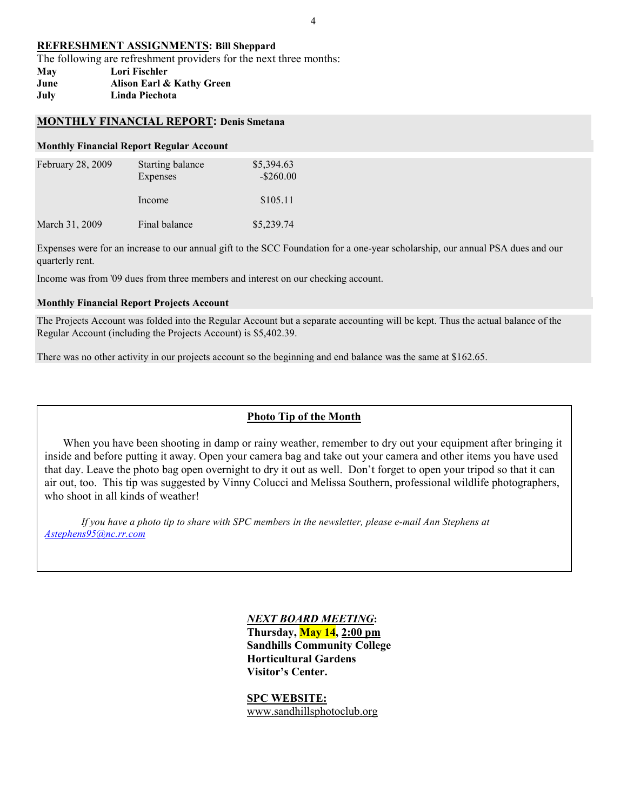### **REFRESHMENT ASSIGNMENTS: Bill Sheppard**

The following are refreshment providers for the next three months:

**May Lori Fischler June Alison Earl & Kathy Green July Linda Piechota** 

### **MONTHLY FINANCIAL REPORT: Denis Smetana**

#### **Monthly Financial Report Regular Account**

| February 28, 2009 | Starting balance<br>Expenses | \$5,394.63<br>$-$ \$260.00 |
|-------------------|------------------------------|----------------------------|
|                   | Income                       | \$105.11                   |
| March 31, 2009    | Final balance                | \$5,239.74                 |

Expenses were for an increase to our annual gift to the SCC Foundation for a one-year scholarship, our annual PSA dues and our quarterly rent.

Income was from '09 dues from three members and interest on our checking account.

### **Monthly Financial Report Projects Account**

The Projects Account was folded into the Regular Account but a separate accounting will be kept. Thus the actual balance of the Regular Account (including the Projects Account) is \$5,402.39.

There was no other activity in our projects account so the beginning and end balance was the same at \$162.65.

# **Photo Tip of the Month**

When you have been shooting in damp or rainy weather, remember to dry out your equipment after bringing it inside and before putting it away. Open your camera bag and take out your camera and other items you have used that day. Leave the photo bag open overnight to dry it out as well. Don't forget to open your tripod so that it can air out, too. This tip was suggested by Vinny Colucci and Melissa Southern, professional wildlife photographers, who shoot in all kinds of weather!

*If you have a photo tip to share with SPC members in the newsletter, please e-mail Ann Stephens at Astephens95@nc.rr.com*

# *NEXT BOARD MEETING***: Thursday, May 14, 2:00 pm Sandhills Community College Horticultural Gardens Visitor's Center.**

**SPC WEBSITE:** www.sandhillsphotoclub.org